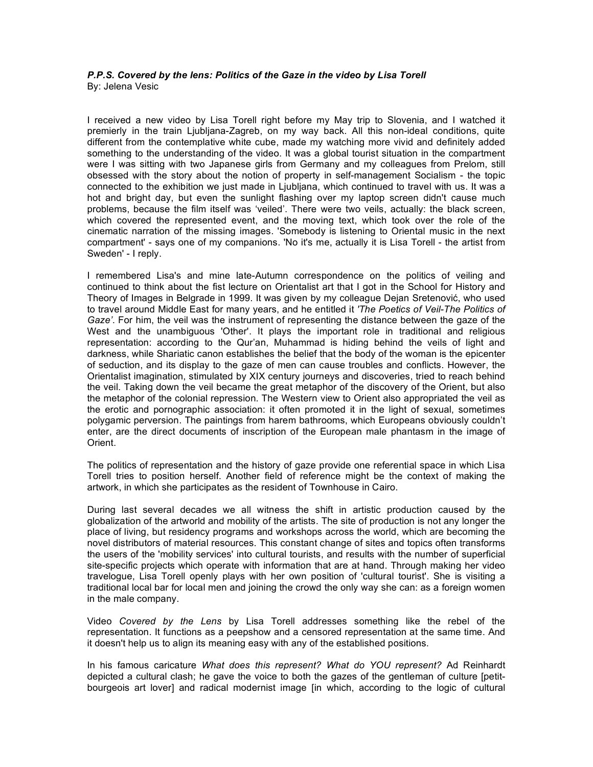## *P.P.S. Covered by the lens: Politics of the Gaze in the video by Lisa Torell* By: Jelena Vesic

I received a new video by Lisa Torell right before my May trip to Slovenia, and I watched it premierly in the train Ljubljana-Zagreb, on my way back. All this non-ideal conditions, quite different from the contemplative white cube, made my watching more vivid and definitely added something to the understanding of the video. It was a global tourist situation in the compartment were I was sitting with two Japanese girls from Germany and my colleagues from Prelom, still obsessed with the story about the notion of property in self-management Socialism - the topic connected to the exhibition we just made in Ljubljana, which continued to travel with us. It was a hot and bright day, but even the sunlight flashing over my laptop screen didn't cause much problems, because the film itself was 'veiled'. There were two veils, actually: the black screen, which covered the represented event, and the moving text, which took over the role of the cinematic narration of the missing images. 'Somebody is listening to Oriental music in the next compartment' - says one of my companions. 'No it's me, actually it is Lisa Torell - the artist from Sweden' - I reply.

I remembered Lisa's and mine late-Autumn correspondence on the politics of veiling and continued to think about the fist lecture on Orientalist art that I got in the School for History and Theory of Images in Belgrade in 1999. It was given by my colleague Dejan Sretenović, who used to travel around Middle East for many years, and he entitled it *'The Poetics of Veil-The Politics of Gaze'*. For him, the veil was the instrument of representing the distance between the gaze of the West and the unambiguous 'Other'. It plays the important role in traditional and religious representation: according to the Qur'an, Muhammad is hiding behind the veils of light and darkness, while Shariatic canon establishes the belief that the body of the woman is the epicenter of seduction, and its display to the gaze of men can cause troubles and conflicts. However, the Orientalist imagination, stimulated by XIX century journeys and discoveries, tried to reach behind the veil. Taking down the veil became the great metaphor of the discovery of the Orient, but also the metaphor of the colonial repression. The Western view to Orient also appropriated the veil as the erotic and pornographic association: it often promoted it in the light of sexual, sometimes polygamic perversion. The paintings from harem bathrooms, which Europeans obviously couldn't enter, are the direct documents of inscription of the European male phantasm in the image of Orient.

The politics of representation and the history of gaze provide one referential space in which Lisa Torell tries to position herself. Another field of reference might be the context of making the artwork, in which she participates as the resident of Townhouse in Cairo.

During last several decades we all witness the shift in artistic production caused by the globalization of the artworld and mobility of the artists. The site of production is not any longer the place of living, but residency programs and workshops across the world, which are becoming the novel distributors of material resources. This constant change of sites and topics often transforms the users of the 'mobility services' into cultural tourists, and results with the number of superficial site-specific projects which operate with information that are at hand. Through making her video travelogue, Lisa Torell openly plays with her own position of 'cultural tourist'. She is visiting a traditional local bar for local men and joining the crowd the only way she can: as a foreign women in the male company.

Video *Covered by the Lens* by Lisa Torell addresses something like the rebel of the representation. It functions as a peepshow and a censored representation at the same time. And it doesn't help us to align its meaning easy with any of the established positions.

In his famous caricature *What does this represent? What do YOU represent?* Ad Reinhardt depicted a cultural clash; he gave the voice to both the gazes of the gentleman of culture [petitbourgeois art lover] and radical modernist image [in which, according to the logic of cultural